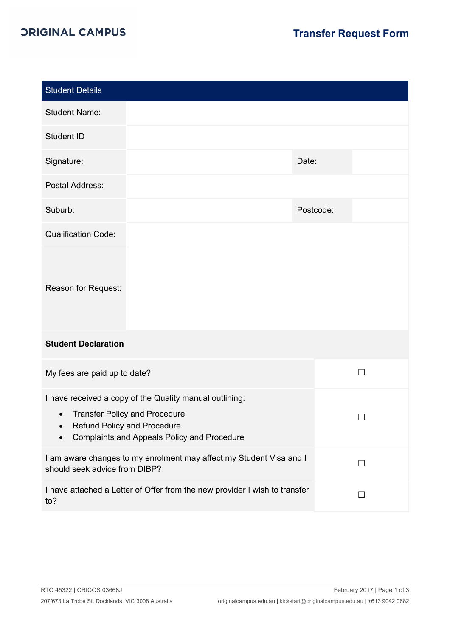## *ORIGINAL CAMPUS*

| Date:                                                                           |  |  |  |  |  |
|---------------------------------------------------------------------------------|--|--|--|--|--|
|                                                                                 |  |  |  |  |  |
| Postcode:                                                                       |  |  |  |  |  |
|                                                                                 |  |  |  |  |  |
|                                                                                 |  |  |  |  |  |
| <b>Student Declaration</b>                                                      |  |  |  |  |  |
| П                                                                               |  |  |  |  |  |
|                                                                                 |  |  |  |  |  |
| I am aware changes to my enrolment may affect my Student Visa and I<br>П        |  |  |  |  |  |
| I have attached a Letter of Offer from the new provider I wish to transfer<br>П |  |  |  |  |  |
|                                                                                 |  |  |  |  |  |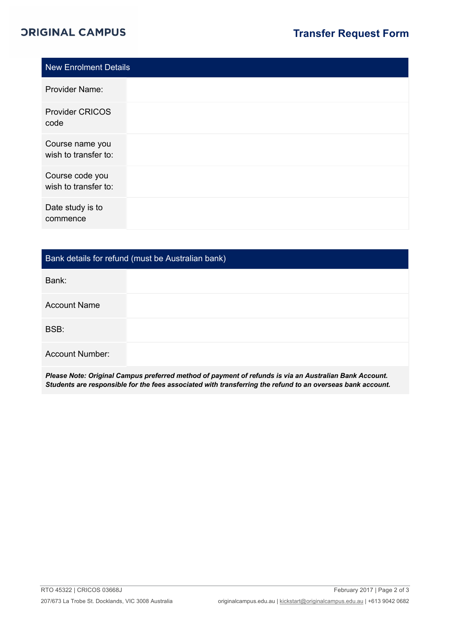## *ORIGINAL CAMPUS*

| New Enrolment Details                   |  |
|-----------------------------------------|--|
| <b>Provider Name:</b>                   |  |
| <b>Provider CRICOS</b><br>code          |  |
| Course name you<br>wish to transfer to: |  |
| Course code you<br>wish to transfer to: |  |
| Date study is to<br>commence            |  |

## Bank details for refund (must be Australian bank)

Bank:

BSB:

Account Number:

*Please Note: Original Campus preferred method of payment of refunds is via an Australian Bank Account. Students are responsible for the fees associated with transferring the refund to an overseas bank account.*